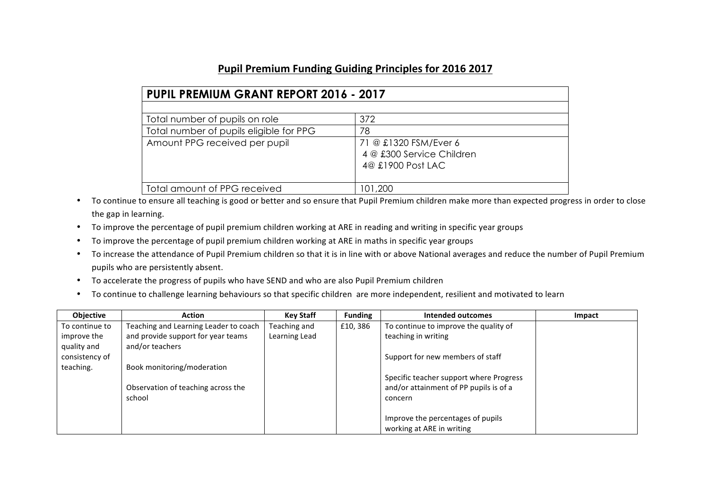## Pupil Premium Funding Guiding Principles for 2016 2017

| <b>PUPIL PREMIUM GRANT REPORT 2016 - 2017</b> |                                                                         |  |  |  |  |
|-----------------------------------------------|-------------------------------------------------------------------------|--|--|--|--|
|                                               |                                                                         |  |  |  |  |
| Total number of pupils on role                | 372                                                                     |  |  |  |  |
| Total number of pupils eligible for PPG       | 78                                                                      |  |  |  |  |
| Amount PPG received per pupil                 | 71 @ £1320 FSM/Ever 6<br>4 @ £300 Service Children<br>4@ £1900 Post LAC |  |  |  |  |
| Total amount of PPG received                  | 101,200                                                                 |  |  |  |  |

- To continue to ensure all teaching is good or better and so ensure that Pupil Premium children make more than expected progress in order to close the gap in learning.
- To improve the percentage of pupil premium children working at ARE in reading and writing in specific year groups
- To improve the percentage of pupil premium children working at ARE in maths in specific year groups
- To increase the attendance of Pupil Premium children so that it is in line with or above National averages and reduce the number of Pupil Premium pupils who are persistently absent.
- To accelerate the progress of pupils who have SEND and who are also Pupil Premium children
- To continue to challenge learning behaviours so that specific children are more independent, resilient and motivated to learn

| <b>Objective</b> | <b>Action</b>                         | <b>Key Staff</b> | <b>Funding</b> | Intended outcomes                       | Impact |
|------------------|---------------------------------------|------------------|----------------|-----------------------------------------|--------|
| To continue to   | Teaching and Learning Leader to coach | Teaching and     | £10,386        | To continue to improve the quality of   |        |
| improve the      | and provide support for year teams    | Learning Lead    |                | teaching in writing                     |        |
| quality and      | and/or teachers                       |                  |                |                                         |        |
| consistency of   |                                       |                  |                | Support for new members of staff        |        |
| teaching.        | Book monitoring/moderation            |                  |                |                                         |        |
|                  |                                       |                  |                | Specific teacher support where Progress |        |
|                  | Observation of teaching across the    |                  |                | and/or attainment of PP pupils is of a  |        |
|                  | school                                |                  |                | concern                                 |        |
|                  |                                       |                  |                |                                         |        |
|                  |                                       |                  |                | Improve the percentages of pupils       |        |
|                  |                                       |                  |                | working at ARE in writing               |        |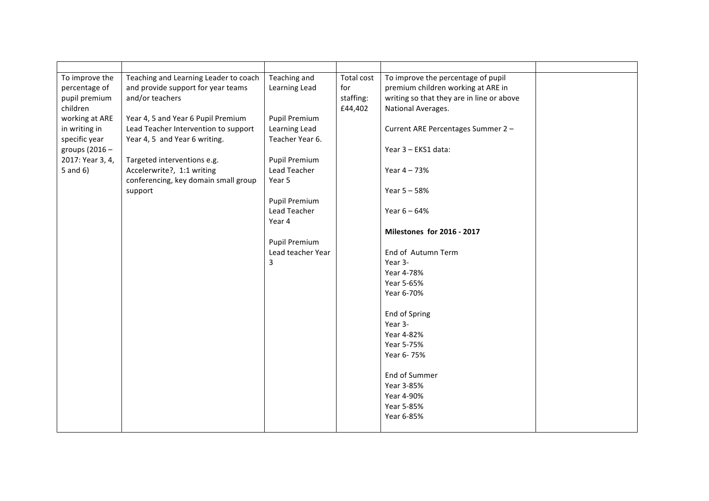| To improve the   | Teaching and Learning Leader to coach | Teaching and         | Total cost | To improve the percentage of pupil        |  |
|------------------|---------------------------------------|----------------------|------------|-------------------------------------------|--|
| percentage of    | and provide support for year teams    | Learning Lead        | for        | premium children working at ARE in        |  |
| pupil premium    | and/or teachers                       |                      | staffing:  | writing so that they are in line or above |  |
| children         |                                       |                      | £44,402    | National Averages.                        |  |
| working at ARE   | Year 4, 5 and Year 6 Pupil Premium    | Pupil Premium        |            |                                           |  |
| in writing in    | Lead Teacher Intervention to support  | Learning Lead        |            | Current ARE Percentages Summer 2 -        |  |
| specific year    | Year 4, 5 and Year 6 writing.         | Teacher Year 6.      |            |                                           |  |
| groups $(2016 -$ |                                       |                      |            | Year 3 - EKS1 data:                       |  |
| 2017: Year 3, 4, | Targeted interventions e.g.           | Pupil Premium        |            |                                           |  |
| 5 and $6$ )      | Accelerwrite?, 1:1 writing            | Lead Teacher         |            | Year 4 - 73%                              |  |
|                  | conferencing, key domain small group  | Year 5               |            |                                           |  |
|                  | support                               |                      |            | Year 5 - 58%                              |  |
|                  |                                       | <b>Pupil Premium</b> |            |                                           |  |
|                  |                                       | Lead Teacher         |            | Year $6 - 64%$                            |  |
|                  |                                       | Year 4               |            |                                           |  |
|                  |                                       |                      |            | Milestones for 2016 - 2017                |  |
|                  |                                       | <b>Pupil Premium</b> |            |                                           |  |
|                  |                                       | Lead teacher Year    |            | End of Autumn Term                        |  |
|                  |                                       | 3                    |            | Year 3-                                   |  |
|                  |                                       |                      |            | Year 4-78%                                |  |
|                  |                                       |                      |            | Year 5-65%                                |  |
|                  |                                       |                      |            | Year 6-70%                                |  |
|                  |                                       |                      |            |                                           |  |
|                  |                                       |                      |            | End of Spring                             |  |
|                  |                                       |                      |            | Year 3-                                   |  |
|                  |                                       |                      |            | Year 4-82%                                |  |
|                  |                                       |                      |            | Year 5-75%                                |  |
|                  |                                       |                      |            | Year 6-75%                                |  |
|                  |                                       |                      |            |                                           |  |
|                  |                                       |                      |            | End of Summer                             |  |
|                  |                                       |                      |            | Year 3-85%<br>Year 4-90%                  |  |
|                  |                                       |                      |            | Year 5-85%                                |  |
|                  |                                       |                      |            | Year 6-85%                                |  |
|                  |                                       |                      |            |                                           |  |
|                  |                                       |                      |            |                                           |  |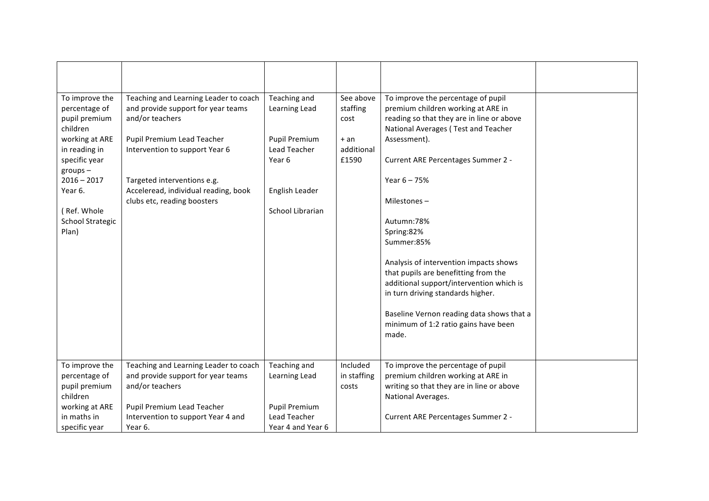| To improve the                         | Teaching and Learning Leader to coach | Teaching and         | See above   | To improve the percentage of pupil                                               |  |
|----------------------------------------|---------------------------------------|----------------------|-------------|----------------------------------------------------------------------------------|--|
| percentage of                          | and provide support for year teams    | Learning Lead        | staffing    | premium children working at ARE in                                               |  |
| pupil premium<br>children              | and/or teachers                       |                      | cost        | reading so that they are in line or above<br>National Averages (Test and Teacher |  |
| working at ARE                         | Pupil Premium Lead Teacher            | <b>Pupil Premium</b> | $+ an$      | Assessment).                                                                     |  |
| in reading in                          | Intervention to support Year 6        | Lead Teacher         | additional  |                                                                                  |  |
| specific year                          |                                       | Year 6               | £1590       | Current ARE Percentages Summer 2 -                                               |  |
| $groups -$                             |                                       |                      |             |                                                                                  |  |
| $2016 - 2017$                          | Targeted interventions e.g.           |                      |             | Year $6 - 75%$                                                                   |  |
| Year 6.                                | Acceleread, individual reading, book  | English Leader       |             |                                                                                  |  |
|                                        | clubs etc, reading boosters           |                      |             | Milestones-                                                                      |  |
| (Ref. Whole<br><b>School Strategic</b> |                                       | School Librarian     |             | Autumn: 78%                                                                      |  |
| Plan)                                  |                                       |                      |             | Spring:82%                                                                       |  |
|                                        |                                       |                      |             | Summer:85%                                                                       |  |
|                                        |                                       |                      |             |                                                                                  |  |
|                                        |                                       |                      |             | Analysis of intervention impacts shows                                           |  |
|                                        |                                       |                      |             | that pupils are benefitting from the                                             |  |
|                                        |                                       |                      |             | additional support/intervention which is                                         |  |
|                                        |                                       |                      |             | in turn driving standards higher.                                                |  |
|                                        |                                       |                      |             | Baseline Vernon reading data shows that a                                        |  |
|                                        |                                       |                      |             | minimum of 1:2 ratio gains have been                                             |  |
|                                        |                                       |                      |             | made.                                                                            |  |
|                                        |                                       |                      |             |                                                                                  |  |
|                                        |                                       |                      |             |                                                                                  |  |
| To improve the                         | Teaching and Learning Leader to coach | Teaching and         | Included    | To improve the percentage of pupil                                               |  |
| percentage of                          | and provide support for year teams    | Learning Lead        | in staffing | premium children working at ARE in                                               |  |
| pupil premium<br>children              | and/or teachers                       |                      | costs       | writing so that they are in line or above<br>National Averages.                  |  |
| working at ARE                         | Pupil Premium Lead Teacher            | <b>Pupil Premium</b> |             |                                                                                  |  |
| in maths in                            | Intervention to support Year 4 and    | <b>Lead Teacher</b>  |             | Current ARE Percentages Summer 2 -                                               |  |
| specific year                          | Year 6.                               | Year 4 and Year 6    |             |                                                                                  |  |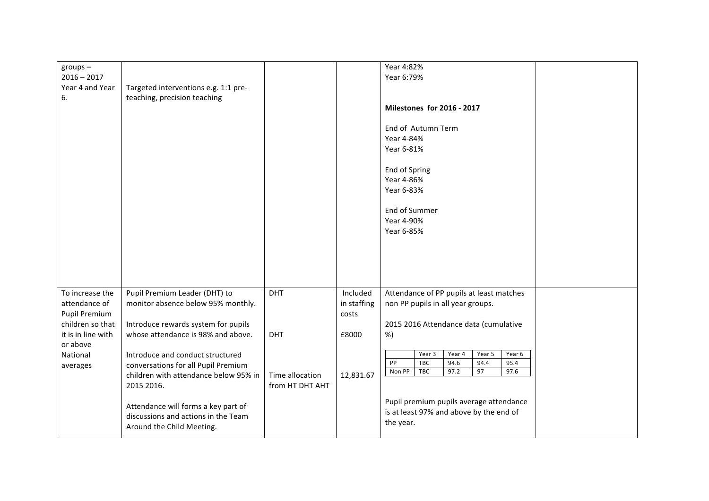| $groups -$           |                                                                              |                 |             | Year 4:82%                                 |
|----------------------|------------------------------------------------------------------------------|-----------------|-------------|--------------------------------------------|
| $2016 - 2017$        |                                                                              |                 |             | Year 6:79%                                 |
| Year 4 and Year      | Targeted interventions e.g. 1:1 pre-                                         |                 |             |                                            |
| 6.                   | teaching, precision teaching                                                 |                 |             |                                            |
|                      |                                                                              |                 |             | <b>Milestones for 2016 - 2017</b>          |
|                      |                                                                              |                 |             |                                            |
|                      |                                                                              |                 |             | End of Autumn Term                         |
|                      |                                                                              |                 |             | Year 4-84%                                 |
|                      |                                                                              |                 |             | Year 6-81%                                 |
|                      |                                                                              |                 |             | End of Spring                              |
|                      |                                                                              |                 |             | Year 4-86%                                 |
|                      |                                                                              |                 |             | Year 6-83%                                 |
|                      |                                                                              |                 |             |                                            |
|                      |                                                                              |                 |             | End of Summer                              |
|                      |                                                                              |                 |             | Year 4-90%                                 |
|                      |                                                                              |                 |             | Year 6-85%                                 |
|                      |                                                                              |                 |             |                                            |
|                      |                                                                              |                 |             |                                            |
|                      |                                                                              |                 |             |                                            |
|                      |                                                                              |                 |             |                                            |
| To increase the      | Pupil Premium Leader (DHT) to                                                | DHT             | Included    | Attendance of PP pupils at least matches   |
| attendance of        | monitor absence below 95% monthly.                                           |                 | in staffing | non PP pupils in all year groups.          |
| <b>Pupil Premium</b> |                                                                              |                 | costs       |                                            |
| children so that     | Introduce rewards system for pupils                                          |                 |             | 2015 2016 Attendance data (cumulative      |
| it is in line with   | whose attendance is 98% and above.                                           | DHT             | £8000       | %)                                         |
| or above             |                                                                              |                 |             | Year 3<br>Year 4<br>Year 5<br>Year 6       |
| National             | Introduce and conduct structured                                             |                 |             | PP<br>TBC<br>94.6<br>95.4<br>94.4          |
| averages             | conversations for all Pupil Premium<br>children with attendance below 95% in | Time allocation | 12,831.67   | Non PP<br>97.2<br><b>TBC</b><br>97<br>97.6 |
|                      | 2015 2016.                                                                   | from HT DHT AHT |             |                                            |
|                      |                                                                              |                 |             |                                            |
|                      | Attendance will forms a key part of                                          |                 |             | Pupil premium pupils average attendance    |
|                      | discussions and actions in the Team                                          |                 |             | is at least 97% and above by the end of    |
|                      | Around the Child Meeting.                                                    |                 |             | the year.                                  |
|                      |                                                                              |                 |             |                                            |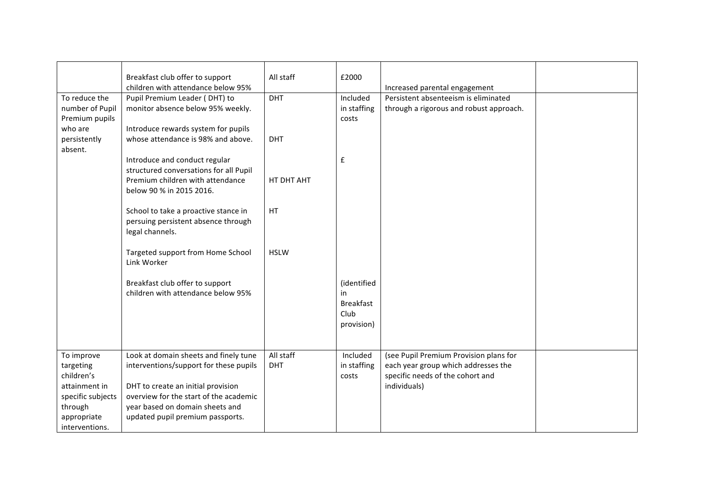|                                                               | Breakfast club offer to support                                                                                                                                                                                                                                                                                                                                                                                                                          | All staff         | £2000                                         |                                         |  |
|---------------------------------------------------------------|----------------------------------------------------------------------------------------------------------------------------------------------------------------------------------------------------------------------------------------------------------------------------------------------------------------------------------------------------------------------------------------------------------------------------------------------------------|-------------------|-----------------------------------------------|-----------------------------------------|--|
|                                                               | children with attendance below 95%                                                                                                                                                                                                                                                                                                                                                                                                                       |                   |                                               |                                         |  |
|                                                               |                                                                                                                                                                                                                                                                                                                                                                                                                                                          |                   |                                               | Increased parental engagement           |  |
| To reduce the                                                 | Pupil Premium Leader (DHT) to                                                                                                                                                                                                                                                                                                                                                                                                                            | DHT               | Included                                      | Persistent absenteeism is eliminated    |  |
| number of Pupil                                               | monitor absence below 95% weekly.                                                                                                                                                                                                                                                                                                                                                                                                                        |                   | in staffing                                   | through a rigorous and robust approach. |  |
| Premium pupils                                                |                                                                                                                                                                                                                                                                                                                                                                                                                                                          |                   | costs                                         |                                         |  |
| who are                                                       | Introduce rewards system for pupils                                                                                                                                                                                                                                                                                                                                                                                                                      |                   |                                               |                                         |  |
| persistently                                                  | whose attendance is 98% and above.                                                                                                                                                                                                                                                                                                                                                                                                                       | DHT               |                                               |                                         |  |
| absent.                                                       |                                                                                                                                                                                                                                                                                                                                                                                                                                                          |                   |                                               |                                         |  |
|                                                               | Introduce and conduct regular                                                                                                                                                                                                                                                                                                                                                                                                                            |                   | £                                             |                                         |  |
|                                                               |                                                                                                                                                                                                                                                                                                                                                                                                                                                          |                   |                                               |                                         |  |
|                                                               | Premium children with attendance                                                                                                                                                                                                                                                                                                                                                                                                                         | HT DHT AHT        |                                               |                                         |  |
|                                                               |                                                                                                                                                                                                                                                                                                                                                                                                                                                          |                   |                                               |                                         |  |
|                                                               |                                                                                                                                                                                                                                                                                                                                                                                                                                                          |                   |                                               |                                         |  |
|                                                               |                                                                                                                                                                                                                                                                                                                                                                                                                                                          |                   |                                               |                                         |  |
|                                                               |                                                                                                                                                                                                                                                                                                                                                                                                                                                          |                   |                                               |                                         |  |
|                                                               |                                                                                                                                                                                                                                                                                                                                                                                                                                                          |                   |                                               |                                         |  |
|                                                               |                                                                                                                                                                                                                                                                                                                                                                                                                                                          |                   |                                               |                                         |  |
|                                                               |                                                                                                                                                                                                                                                                                                                                                                                                                                                          |                   |                                               |                                         |  |
|                                                               |                                                                                                                                                                                                                                                                                                                                                                                                                                                          |                   |                                               |                                         |  |
|                                                               |                                                                                                                                                                                                                                                                                                                                                                                                                                                          |                   |                                               |                                         |  |
|                                                               |                                                                                                                                                                                                                                                                                                                                                                                                                                                          |                   |                                               |                                         |  |
|                                                               |                                                                                                                                                                                                                                                                                                                                                                                                                                                          |                   |                                               |                                         |  |
|                                                               |                                                                                                                                                                                                                                                                                                                                                                                                                                                          |                   |                                               |                                         |  |
|                                                               |                                                                                                                                                                                                                                                                                                                                                                                                                                                          |                   |                                               |                                         |  |
|                                                               |                                                                                                                                                                                                                                                                                                                                                                                                                                                          |                   |                                               |                                         |  |
|                                                               |                                                                                                                                                                                                                                                                                                                                                                                                                                                          |                   | provision)                                    |                                         |  |
|                                                               |                                                                                                                                                                                                                                                                                                                                                                                                                                                          |                   |                                               |                                         |  |
|                                                               |                                                                                                                                                                                                                                                                                                                                                                                                                                                          |                   |                                               |                                         |  |
| To improve                                                    | Look at domain sheets and finely tune                                                                                                                                                                                                                                                                                                                                                                                                                    | All staff         | Included                                      | (see Pupil Premium Provision plans for  |  |
| targeting                                                     | interventions/support for these pupils                                                                                                                                                                                                                                                                                                                                                                                                                   | DHT               | in staffing                                   | each year group which addresses the     |  |
| children's                                                    |                                                                                                                                                                                                                                                                                                                                                                                                                                                          |                   | costs                                         | specific needs of the cohort and        |  |
| attainment in                                                 |                                                                                                                                                                                                                                                                                                                                                                                                                                                          |                   |                                               |                                         |  |
|                                                               |                                                                                                                                                                                                                                                                                                                                                                                                                                                          |                   |                                               |                                         |  |
|                                                               |                                                                                                                                                                                                                                                                                                                                                                                                                                                          |                   |                                               |                                         |  |
|                                                               |                                                                                                                                                                                                                                                                                                                                                                                                                                                          |                   |                                               |                                         |  |
|                                                               |                                                                                                                                                                                                                                                                                                                                                                                                                                                          |                   |                                               |                                         |  |
| specific subjects<br>through<br>appropriate<br>interventions. | structured conversations for all Pupil<br>below 90 % in 2015 2016.<br>School to take a proactive stance in<br>persuing persistent absence through<br>legal channels.<br>Targeted support from Home School<br>Link Worker<br>Breakfast club offer to support<br>children with attendance below 95%<br>DHT to create an initial provision<br>overview for the start of the academic<br>year based on domain sheets and<br>updated pupil premium passports. | HT<br><b>HSLW</b> | (identified<br>in<br><b>Breakfast</b><br>Club | individuals)                            |  |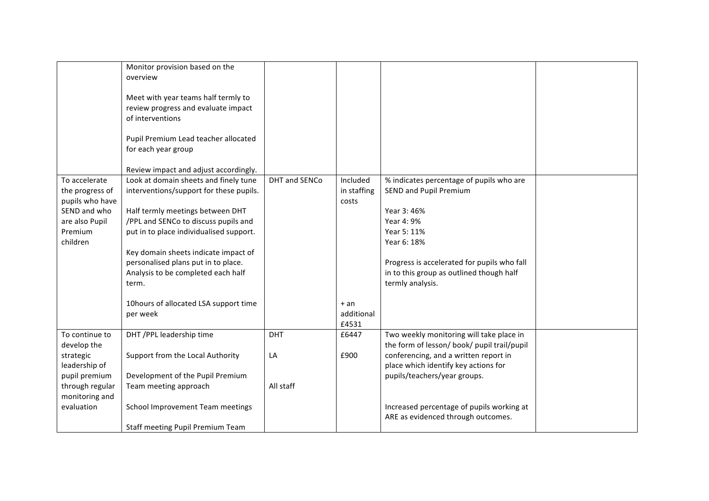|                               | Monitor provision based on the<br>overview                                                     |               |             |                                                                                         |  |
|-------------------------------|------------------------------------------------------------------------------------------------|---------------|-------------|-----------------------------------------------------------------------------------------|--|
|                               | Meet with year teams half termly to<br>review progress and evaluate impact<br>of interventions |               |             |                                                                                         |  |
|                               | Pupil Premium Lead teacher allocated<br>for each year group                                    |               |             |                                                                                         |  |
|                               | Review impact and adjust accordingly.                                                          |               |             |                                                                                         |  |
| To accelerate                 | Look at domain sheets and finely tune                                                          | DHT and SENCo | Included    | % indicates percentage of pupils who are                                                |  |
| the progress of               | interventions/support for these pupils.                                                        |               | in staffing | <b>SEND and Pupil Premium</b>                                                           |  |
| pupils who have               |                                                                                                |               | costs       |                                                                                         |  |
| SEND and who                  | Half termly meetings between DHT                                                               |               |             | Year 3: 46%                                                                             |  |
| are also Pupil                | /PPL and SENCo to discuss pupils and                                                           |               |             | Year 4: 9%                                                                              |  |
| Premium<br>children           | put in to place individualised support.                                                        |               |             | Year 5: 11%<br>Year 6: 18%                                                              |  |
|                               | Key domain sheets indicate impact of                                                           |               |             |                                                                                         |  |
|                               | personalised plans put in to place.                                                            |               |             | Progress is accelerated for pupils who fall                                             |  |
|                               | Analysis to be completed each half                                                             |               |             | in to this group as outlined though half                                                |  |
|                               | term.                                                                                          |               |             | termly analysis.                                                                        |  |
|                               |                                                                                                |               |             |                                                                                         |  |
|                               | 10hours of allocated LSA support time                                                          |               | $+an$       |                                                                                         |  |
|                               | per week                                                                                       |               | additional  |                                                                                         |  |
|                               |                                                                                                |               | £4531       |                                                                                         |  |
| To continue to<br>develop the | DHT / PPL leadership time                                                                      | <b>DHT</b>    | £6447       | Two weekly monitoring will take place in<br>the form of lesson/ book/ pupil trail/pupil |  |
| strategic                     | Support from the Local Authority                                                               | LA            | £900        | conferencing, and a written report in                                                   |  |
| leadership of                 |                                                                                                |               |             | place which identify key actions for                                                    |  |
| pupil premium                 | Development of the Pupil Premium                                                               |               |             | pupils/teachers/year groups.                                                            |  |
| through regular               | Team meeting approach                                                                          | All staff     |             |                                                                                         |  |
| monitoring and                |                                                                                                |               |             |                                                                                         |  |
| evaluation                    | School Improvement Team meetings                                                               |               |             | Increased percentage of pupils working at                                               |  |
|                               |                                                                                                |               |             | ARE as evidenced through outcomes.                                                      |  |
|                               | Staff meeting Pupil Premium Team                                                               |               |             |                                                                                         |  |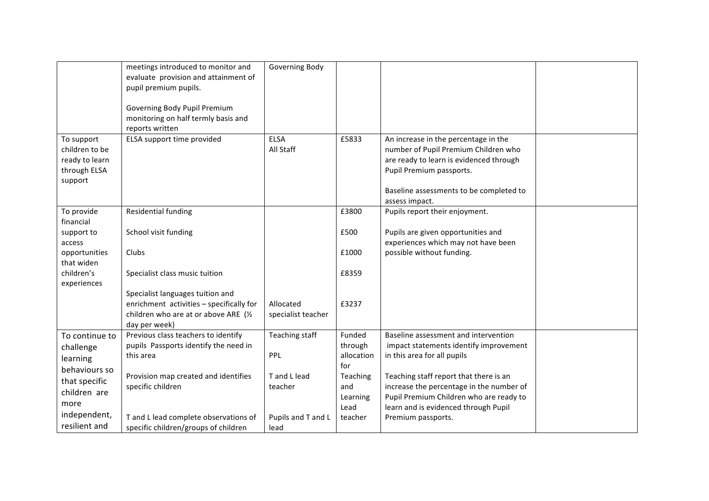|                                                                           | meetings introduced to monitor and<br>evaluate provision and attainment of<br>pupil premium pupils.<br>Governing Body Pupil Premium<br>monitoring on half termly basis and<br>reports written | Governing Body                  |                                            |                                                                                                                                                                                                                  |  |
|---------------------------------------------------------------------------|-----------------------------------------------------------------------------------------------------------------------------------------------------------------------------------------------|---------------------------------|--------------------------------------------|------------------------------------------------------------------------------------------------------------------------------------------------------------------------------------------------------------------|--|
| To support<br>children to be<br>ready to learn<br>through ELSA<br>support | ELSA support time provided                                                                                                                                                                    | <b>ELSA</b><br>All Staff        | £5833                                      | An increase in the percentage in the<br>number of Pupil Premium Children who<br>are ready to learn is evidenced through<br>Pupil Premium passports.<br>Baseline assessments to be completed to<br>assess impact. |  |
| To provide                                                                | Residential funding                                                                                                                                                                           |                                 | £3800                                      | Pupils report their enjoyment.                                                                                                                                                                                   |  |
| financial<br>support to<br>access                                         | School visit funding                                                                                                                                                                          |                                 | £500                                       | Pupils are given opportunities and<br>experiences which may not have been                                                                                                                                        |  |
| opportunities                                                             | Clubs                                                                                                                                                                                         |                                 | £1000                                      | possible without funding.                                                                                                                                                                                        |  |
| that widen<br>children's<br>experiences                                   | Specialist class music tuition                                                                                                                                                                |                                 | £8359                                      |                                                                                                                                                                                                                  |  |
|                                                                           | Specialist languages tuition and<br>enrichment activities - specifically for<br>children who are at or above ARE (1/2<br>day per week)                                                        | Allocated<br>specialist teacher | £3237                                      |                                                                                                                                                                                                                  |  |
| To continue to<br>challenge<br>learning                                   | Previous class teachers to identify<br>pupils Passports identify the need in<br>this area                                                                                                     | Teaching staff<br><b>PPL</b>    | Funded<br>through<br>allocation            | Baseline assessment and intervention<br>impact statements identify improvement<br>in this area for all pupils                                                                                                    |  |
| behaviours so<br>that specific<br>children are<br>more                    | Provision map created and identifies<br>specific children                                                                                                                                     | T and L lead<br>teacher         | for<br>Teaching<br>and<br>Learning<br>Lead | Teaching staff report that there is an<br>increase the percentage in the number of<br>Pupil Premium Children who are ready to<br>learn and is evidenced through Pupil                                            |  |
| independent,<br>resilient and                                             | T and L lead complete observations of<br>specific children/groups of children                                                                                                                 | Pupils and T and L<br>lead      | teacher                                    | Premium passports.                                                                                                                                                                                               |  |